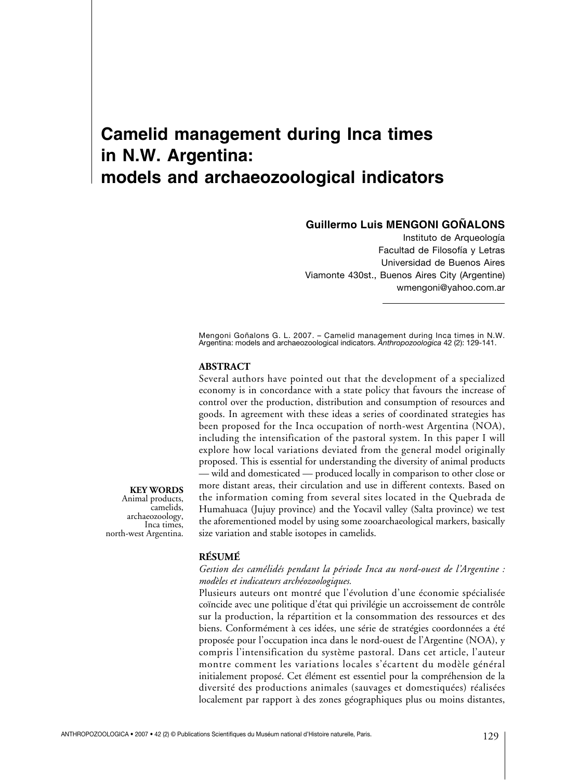# **Camelid management during Inca times in N.W. Argentina: models and archaeozoological indicators**

# **Guillermo Luis MENGONI GOÑALONS**

Instituto de Arqueología Facultad de Filosofía y Letras Universidad de Buenos Aires Viamonte 430st., Buenos Aires City (Argentine) wmengoni@yahoo.com.ar

Mengoni Goñalons G. L. 2007. – Camelid management during Inca times in N.W. Argentina: models and archaeozoological indicators. *Anthropozoologica* 42 (2): 129-141.

#### **ABSTRACT**

Several authors have pointed out that the development of a specialized economy is in concordance with a state policy that favours the increase of control over the production, distribution and consumption of resources and goods. In agreement with these ideas a series of coordinated strategies has been proposed for the Inca occupation of north-west Argentina (NOA), including the intensification of the pastoral system. In this paper I will explore how local variations deviated from the general model originally proposed. This is essential for understanding the diversity of animal products — wild and domesticated — produced locally in comparison to other close or more distant areas, their circulation and use in different contexts. Based on the information coming from several sites located in the Quebrada de Humahuaca (Jujuy province) and the Yocavil valley (Salta province) we test the aforementioned model by using some zooarchaeological markers, basically size variation and stable isotopes in camelids.

#### **RÉSUMÉ**

#### *Gestion des camélidés pendant la période Inca au nord-ouest de l'Argentine : modèles et indicateurs archéozoologiques.*

Plusieurs auteurs ont montré que l'évolution d'une économie spécialisée coïncide avec une politique d'état qui privilégie un accroissement de contrôle sur la production, la répartition et la consommation des ressources et des biens. Conformément à ces idées, une série de stratégies coordonnées a été proposée pour l'occupation inca dans le nord-ouest de l'Argentine (NOA), y compris l'intensification du système pastoral. Dans cet article, l'auteur montre comment les variations locales s'écartent du modèle général initialement proposé. Cet élément est essentiel pour la compréhension de la diversité des productions animales (sauvages et domestiquées) réalisées localement par rapport à des zones géographiques plus ou moins distantes,

**KEY WORDS** Animal products, camelids, archaeozoology, Inca times, north-west Argentina.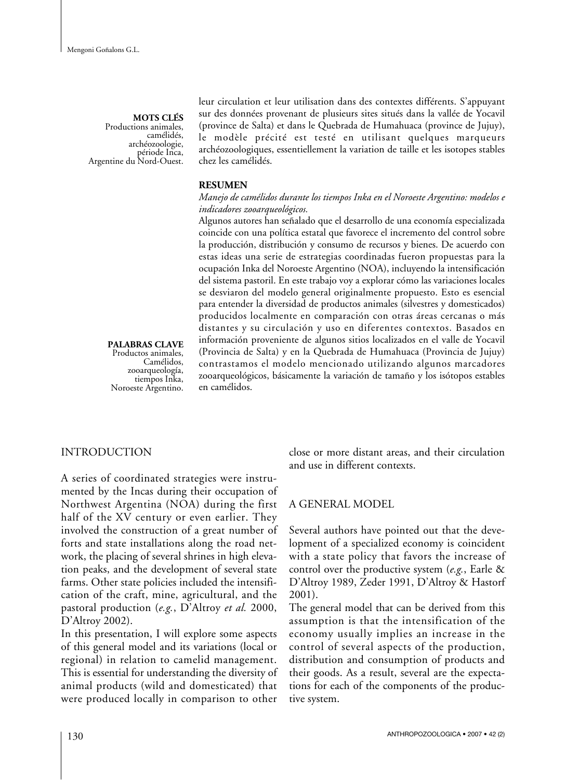**MOTS CLÉS** Productions animales, camélidés, archéozoologie, période Inca, Argentine du Nord-Ouest.

leur circulation et leur utilisation dans des contextes différents. S'appuyant sur des données provenant de plusieurs sites situés dans la vallée de Yocavil (province de Salta) et dans le Quebrada de Humahuaca (province de Jujuy), le modèle précité est testé en utilisant quelques marqueurs archéozoologiques, essentiellement la variation de taille et les isotopes stables chez les camélidés.

#### **RESUMEN**

#### *Manejo de camélidos durante los tiempos Inka en el Noroeste Argentino: modelos e indicadores zooarqueológicos.*

Algunos autores han señalado que el desarrollo de una economía especializada coincide con una política estatal que favorece el incremento del control sobre la producción, distribución y consumo de recursos y bienes. De acuerdo con estas ideas una serie de estrategias coordinadas fueron propuestas para la ocupación Inka del Noroeste Argentino (NOA), incluyendo la intensificación del sistema pastoril. En este trabajo voy a explorar cómo las variaciones locales se desviaron del modelo general originalmente propuesto. Esto es esencial para entender la diversidad de productos animales (silvestres y domesticados) producidos localmente en comparación con otras áreas cercanas o más distantes y su circulación y uso en diferentes contextos. Basados en información proveniente de algunos sitios localizados en el valle de Yocavil (Provincia de Salta) y en la Quebrada de Humahuaca (Provincia de Jujuy) contrastamos el modelo mencionado utilizando algunos marcadores zooarqueológicos, básicamente la variación de tamaño y los isótopos estables en camélidos.

# **PALABRAS CLAVE**

Productos animales, Camélidos, zooarqueología, tiempos Inka, Noroeste Argentino.

# INTRODUCTION

A series of coordinated strategies were instrumented by the Incas during their occupation of Northwest Argentina (NOA) during the first half of the XV century or even earlier. They involved the construction of a great number of forts and state installations along the road network, the placing of several shrines in high elevation peaks, and the development of several state farms. Other state policies included the intensification of the craft, mine, agricultural, and the pastoral production (*e.g.*, D'Altroy *et al.* 2000, D'Altroy 2002).

In this presentation, I will explore some aspects of this general model and its variations (local or regional) in relation to camelid management. This is essential for understanding the diversity of animal products (wild and domesticated) that were produced locally in comparison to other close or more distant areas, and their circulation and use in different contexts.

#### A GENERAL MODEL

Several authors have pointed out that the development of a specialized economy is coincident with a state policy that favors the increase of control over the productive system (*e.g.*, Earle & D'Altroy 1989, Zeder 1991, D'Altroy & Hastorf 2001).

The general model that can be derived from this assumption is that the intensification of the economy usually implies an increase in the control of several aspects of the production, distribution and consumption of products and their goods. As a result, several are the expectations for each of the components of the productive system.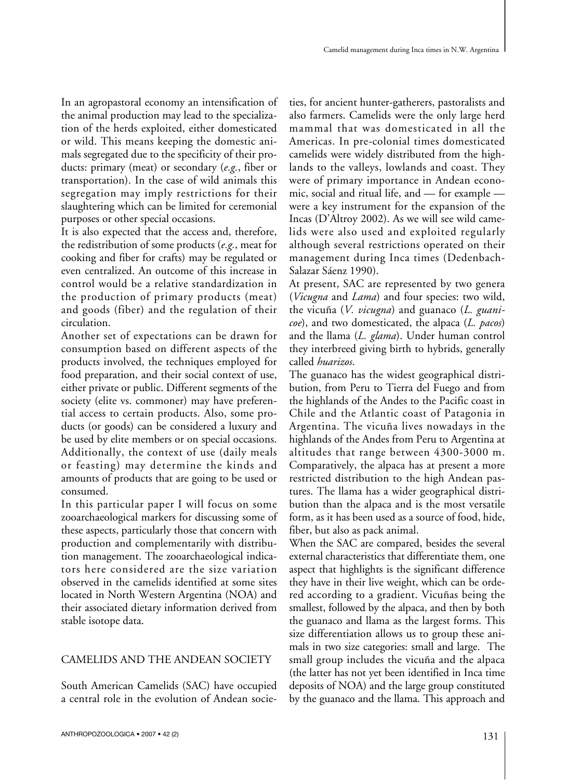In an agropastoral economy an intensification of the animal production may lead to the specialization of the herds exploited, either domesticated or wild. This means keeping the domestic animals segregated due to the specificity of their products: primary (meat) or secondary (*e.g.*, fiber or transportation). In the case of wild animals this segregation may imply restrictions for their slaughtering which can be limited for ceremonial purposes or other special occasions.

It is also expected that the access and, therefore, the redistribution of some products (*e.g.*, meat for cooking and fiber for crafts) may be regulated or even centralized. An outcome of this increase in control would be a relative standardization in the production of primary products (meat) and goods (fiber) and the regulation of their circulation.

Another set of expectations can be drawn for consumption based on different aspects of the products involved, the techniques employed for food preparation, and their social context of use, either private or public. Different segments of the society (elite vs. commoner) may have preferential access to certain products. Also, some products (or goods) can be considered a luxury and be used by elite members or on special occasions. Additionally, the context of use (daily meals or feasting) may determine the kinds and amounts of products that are going to be used or consumed.

In this particular paper I will focus on some zooarchaeological markers for discussing some of these aspects, particularly those that concern with production and complementarily with distribution management. The zooarchaeological indicators here considered are the size variation observed in the camelids identified at some sites located in North Western Argentina (NOA) and their associated dietary information derived from stable isotope data.

# CAMELIDS AND THE ANDEAN SOCIETY

South American Camelids (SAC) have occupied a central role in the evolution of Andean societies, for ancient hunter-gatherers, pastoralists and also farmers. Camelids were the only large herd mammal that was domesticated in all the Americas. In pre-colonial times domesticated camelids were widely distributed from the highlands to the valleys, lowlands and coast. They were of primary importance in Andean economic, social and ritual life, and — for example were a key instrument for the expansion of the Incas (D'Altroy 2002). As we will see wild camelids were also used and exploited regularly although several restrictions operated on their management during Inca times (Dedenbach-Salazar Sáenz 1990).

At present, SAC are represented by two genera (*Vicugna* and *Lama*) and four species: two wild, the vicuña (*V. vicugna*) and guanaco (*L. guanicoe*), and two domesticated, the alpaca (*L. pacos*) and the llama (*L. glama*). Under human control they interbreed giving birth to hybrids, generally called *huarizos*.

The guanaco has the widest geographical distribution, from Peru to Tierra del Fuego and from the highlands of the Andes to the Pacific coast in Chile and the Atlantic coast of Patagonia in Argentina. The vicuña lives nowadays in the highlands of the Andes from Peru to Argentina at altitudes that range between 4300-3000 m. Comparatively, the alpaca has at present a more restricted distribution to the high Andean pastures. The llama has a wider geographical distribution than the alpaca and is the most versatile form, as it has been used as a source of food, hide, fiber, but also as pack animal.

When the SAC are compared, besides the several external characteristics that differentiate them, one aspect that highlights is the significant difference they have in their live weight, which can be ordered according to a gradient. Vicuñas being the smallest, followed by the alpaca, and then by both the guanaco and llama as the largest forms. This size differentiation allows us to group these animals in two size categories: small and large. The small group includes the vicuña and the alpaca (the latter has not yet been identified in Inca time deposits of NOA) and the large group constituted by the guanaco and the llama. This approach and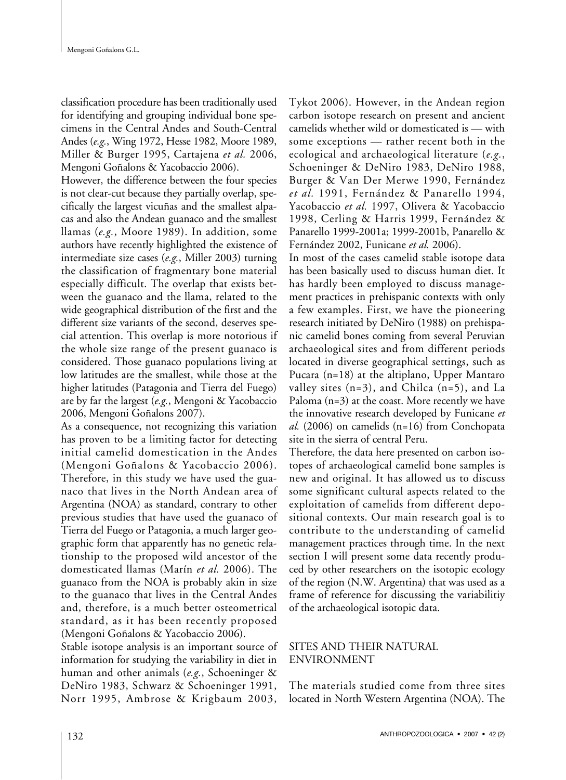classification procedure has been traditionally used for identifying and grouping individual bone specimens in the Central Andes and South-Central Andes (*e.g.*, Wing 1972, Hesse 1982, Moore 1989, Miller & Burger 1995, Cartajena *et al.* 2006, Mengoni Goñalons & Yacobaccio 2006).

However, the difference between the four species is not clear-cut because they partially overlap, specifically the largest vicuñas and the smallest alpacas and also the Andean guanaco and the smallest llamas (*e.g.*, Moore 1989). In addition, some authors have recently highlighted the existence of intermediate size cases (*e.g.*, Miller 2003) turning the classification of fragmentary bone material especially difficult. The overlap that exists between the guanaco and the llama, related to the wide geographical distribution of the first and the different size variants of the second, deserves special attention. This overlap is more notorious if the whole size range of the present guanaco is considered. Those guanaco populations living at low latitudes are the smallest, while those at the higher latitudes (Patagonia and Tierra del Fuego) are by far the largest (*e.g.*, Mengoni & Yacobaccio 2006, Mengoni Goñalons 2007).

As a consequence, not recognizing this variation has proven to be a limiting factor for detecting initial camelid domestication in the Andes (Mengoni Goñalons & Yacobaccio 2006). Therefore, in this study we have used the guanaco that lives in the North Andean area of Argentina (NOA) as standard, contrary to other previous studies that have used the guanaco of Tierra del Fuego or Patagonia, a much larger geographic form that apparently has no genetic relationship to the proposed wild ancestor of the domesticated llamas (Marín *et al.* 2006). The guanaco from the NOA is probably akin in size to the guanaco that lives in the Central Andes and, therefore, is a much better osteometrical standard, as it has been recently proposed (Mengoni Goñalons & Yacobaccio 2006).

Stable isotope analysis is an important source of information for studying the variability in diet in human and other animals (*e.g.*, Schoeninger & DeNiro 1983, Schwarz & Schoeninger 1991, Norr 1995, Ambrose & Krigbaum 2003, Tykot 2006). However, in the Andean region carbon isotope research on present and ancient camelids whether wild or domesticated is — with some exceptions — rather recent both in the ecological and archaeological literature (*e.g.*, Schoeninger & DeNiro 1983, DeNiro 1988, Burger & Van Der Merwe 1990, Fernández *et al.* 1991, Fernández & Panarello 1994, Yacobaccio *et al.* 1997, Olivera & Yacobaccio 1998, Cerling & Harris 1999, Fernández & Panarello 1999-2001a; 1999-2001b, Panarello & Fernández 2002, Funicane *et al.* 2006).

In most of the cases camelid stable isotope data has been basically used to discuss human diet. It has hardly been employed to discuss management practices in prehispanic contexts with only a few examples. First, we have the pioneering research initiated by DeNiro (1988) on prehispanic camelid bones coming from several Peruvian archaeological sites and from different periods located in diverse geographical settings, such as Pucara (n=18) at the altiplano, Upper Mantaro valley sites (n=3), and Chilca (n=5), and La Paloma (n=3) at the coast. More recently we have the innovative research developed by Funicane *et al.* (2006) on camelids (n=16) from Conchopata site in the sierra of central Peru.

Therefore, the data here presented on carbon isotopes of archaeological camelid bone samples is new and original. It has allowed us to discuss some significant cultural aspects related to the exploitation of camelids from different depositional contexts. Our main research goal is to contribute to the understanding of camelid management practices through time. In the next section I will present some data recently produced by other researchers on the isotopic ecology of the region (N.W. Argentina) that was used as a frame of reference for discussing the variabilitiy of the archaeological isotopic data.

## SITES AND THEIR NATURAL ENVIRONMENT

The materials studied come from three sites located in North Western Argentina (NOA). The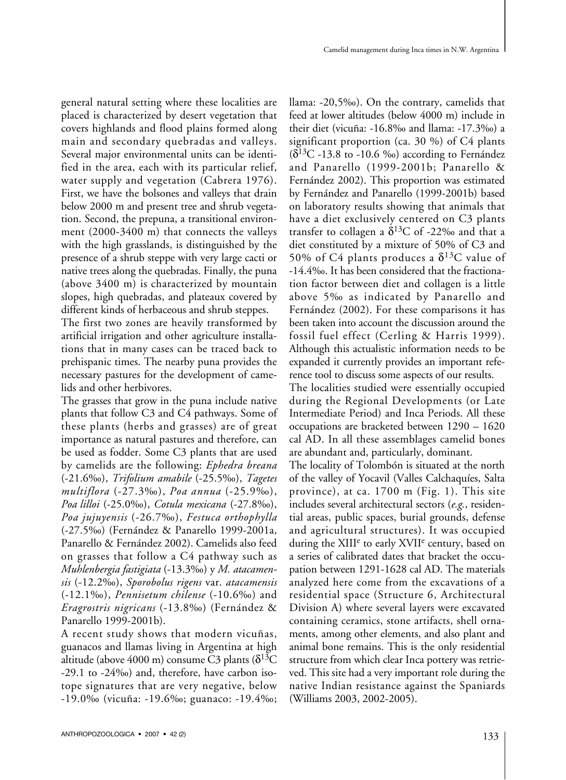general natural setting where these localities are placed is characterized by desert vegetation that covers highlands and flood plains formed along main and secondary quebradas and valleys. Several major environmental units can be identified in the area, each with its particular relief, water supply and vegetation (Cabrera 1976). First, we have the bolsones and valleys that drain below 2000 m and present tree and shrub vegetation. Second, the prepuna, a transitional environment (2000-3400 m) that connects the valleys with the high grasslands, is distinguished by the presence of a shrub steppe with very large cacti or native trees along the quebradas. Finally, the puna (above 3400 m) is characterized by mountain slopes, high quebradas, and plateaux covered by different kinds of herbaceous and shrub steppes.

The first two zones are heavily transformed by artificial irrigation and other agriculture installations that in many cases can be traced back to prehispanic times. The nearby puna provides the necessary pastures for the development of camelids and other herbivores.

The grasses that grow in the puna include native plants that follow C3 and C4 pathways. Some of these plants (herbs and grasses) are of great importance as natural pastures and therefore, can be used as fodder. Some C3 plants that are used by camelids are the following: *Ephedra breana* (-21.6‰), *Trifolium amabile* (-25.5‰), *Tagetes multiflora* (-27.3‰), *Poa annua* (-25.9‰), *Poa lilloi* (-25.0‰), *Cotula mexicana* (-27.8‰), *Poa jujuyensis* (-26.7‰), *Festuca orthophylla* (-27.5‰) (Fernández & Panarello 1999-2001a, Panarello & Fernández 2002). Camelids also feed on grasses that follow a C4 pathway such as *Muhlenbergia fastigiata* (-13.3‰) y *M. atacamensis* (-12.2‰), *Sporobolus rigens* var. *atacamensis* (-12.1‰), *Pennisetum chilense* (-10.6‰) and *Eragrostris nigricans* (-13.8‰) (Fernández & Panarello 1999-2001b).

A recent study shows that modern vicuñas, guanacos and llamas living in Argentina at high altitude (above 4000 m) consume  $\rm \ddot{C}3$  plants ( $\delta^{13}\rm\ddot{C}$ -29.1 to -24‰) and, therefore, have carbon isotope signatures that are very negative, below -19.0‰ (vicuña: -19.6‰; guanaco: -19.4‰; llama: -20,5‰). On the contrary, camelids that feed at lower altitudes (below 4000 m) include in their diet (vicuña: -16.8‰ and llama: -17.3‰) a significant proportion (ca. 30 %) of C4 plants  $(\delta^{13}C - 13.8$  to -10.6 ‰) according to Fernández and Panarello (1999-2001b; Panarello & Fernández 2002). This proportion was estimated by Fernández and Panarello (1999-2001b) based on laboratory results showing that animals that have a diet exclusively centered on C3 plants transfer to collagen a  $\delta^{13}C$  of -22‰ and that a diet constituted by a mixture of 50% of C3 and 50% of C4 plants produces a  $\delta^{13}$ C value of -14.4‰. It has been considered that the fractionation factor between diet and collagen is a little above 5‰ as indicated by Panarello and Fernández (2002). For these comparisons it has been taken into account the discussion around the fossil fuel effect (Cerling & Harris 1999). Although this actualistic information needs to be expanded it currently provides an important reference tool to discuss some aspects of our results.

The localities studied were essentially occupied during the Regional Developments (or Late Intermediate Period) and Inca Periods. All these occupations are bracketed between 1290 – 1620 cal AD. In all these assemblages camelid bones are abundant and, particularly, dominant.

The locality of Tolombón is situated at the north of the valley of Yocavil (Valles Calchaquíes, Salta province), at ca. 1700 m (Fig. 1). This site includes several architectural sectors (*e.g.*, residential areas, public spaces, burial grounds, defense and agricultural structures). It was occupied during the XIII<sup>e</sup> to early XVII<sup>e</sup> century, based on a series of calibrated dates that bracket the occupation between 1291-1628 cal AD. The materials analyzed here come from the excavations of a residential space (Structure 6, Architectural Division A) where several layers were excavated containing ceramics, stone artifacts, shell ornaments, among other elements, and also plant and animal bone remains. This is the only residential structure from which clear Inca pottery was retrieved. This site had a very important role during the native Indian resistance against the Spaniards (Williams 2003, 2002-2005).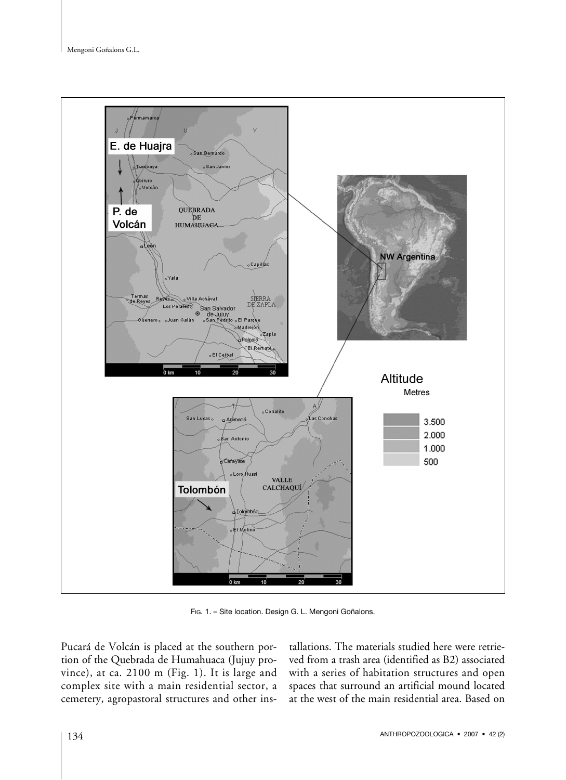

Fig. 1. - Site location. Design G. L. Mengoni Goñalons.

Pucará de Volcán is placed at the southern portion of the Quebrada de Humahuaca (Jujuy province), at ca. 2100 m (Fig. 1). It is large and complex site with a main residential sector, a cemetery, agropastoral structures and other installations. The materials studied here were retrieved from a trash area (identified as B2) associated with a series of habitation structures and open spaces that surround an artificial mound located at the west of the main residential area. Based on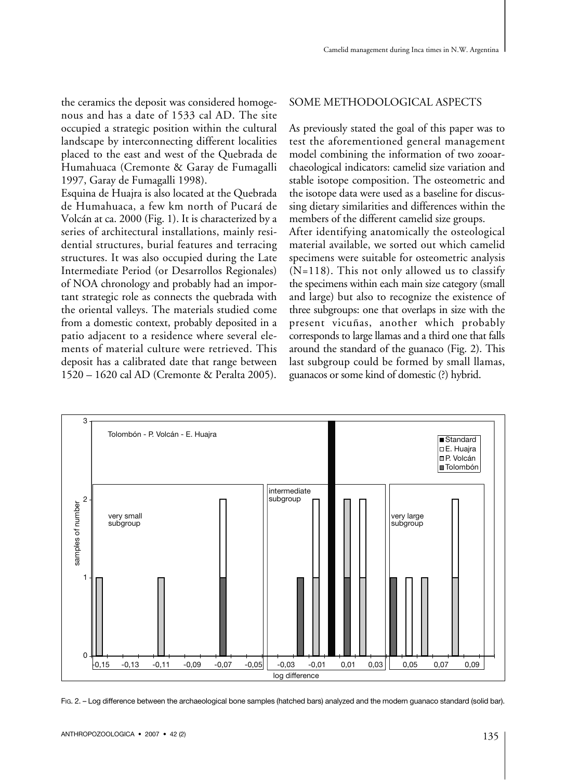the ceramics the deposit was considered homogenous and has a date of 1533 cal AD. The site occupied a strategic position within the cultural landscape by interconnecting different localities placed to the east and west of the Quebrada de Humahuaca (Cremonte & Garay de Fumagalli 1997, Garay de Fumagalli 1998).

Esquina de Huajra is also located at the Quebrada de Humahuaca, a few km north of Pucará de Volcán at ca. 2000 (Fig. 1). It is characterized by a series of architectural installations, mainly residential structures, burial features and terracing structures. It was also occupied during the Late Intermediate Period (or Desarrollos Regionales) of NOA chronology and probably had an important strategic role as connects the quebrada with the oriental valleys. The materials studied come from a domestic context, probably deposited in a patio adjacent to a residence where several elements of material culture were retrieved. This deposit has a calibrated date that range between 1520 – 1620 cal AD (Cremonte & Peralta 2005).

## SOME METHODOLOGICAL ASPECTS

As previously stated the goal of this paper was to test the aforementioned general management model combining the information of two zooarchaeological indicators: camelid size variation and stable isotope composition. The osteometric and the isotope data were used as a baseline for discussing dietary similarities and differences within the members of the different camelid size groups.

After identifying anatomically the osteological material available, we sorted out which camelid specimens were suitable for osteometric analysis (N=118). This not only allowed us to classify the specimens within each main size category (small and large) but also to recognize the existence of three subgroups: one that overlaps in size with the present vicuñas, another which probably corresponds to large llamas and a third one that falls around the standard of the guanaco (Fig. 2). This last subgroup could be formed by small llamas, guanacos or some kind of domestic (?) hybrid.



FIG. 2. – Log difference between the archaeological bone samples (hatched bars) analyzed and the modern guanaco standard (solid bar).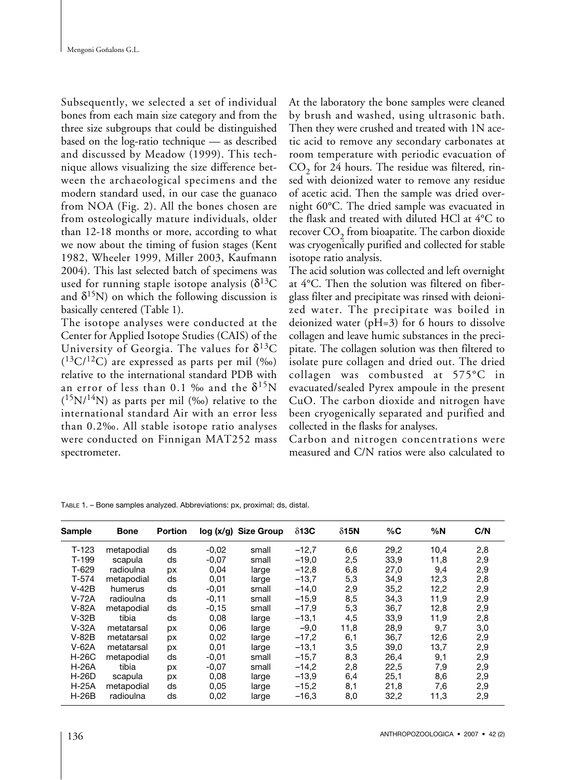Subsequently, we selected a set of individual bones from each main size category and from the three size subgroups that could be distinguished based on the log-ratio technique — as described and discussed by Meadow (1999). This technique allows visualizing the size difference between the archaeological specimens and the modern standard used, in our case the guanaco from NOA (Fig. 2). All the bones chosen are from osteologically mature individuals, older than 12-18 months or more, according to what we now about the timing of fusion stages (Kent 1982, Wheeler 1999, Miller 2003, Kaufmann 2004). This last selected batch of specimens was used for running staple isotope analysis  $(\delta^{13}C)$ and  $\delta^{15}N$ ) on which the following discussion is basically centered (Table 1).

The isotope analyses were conducted at the Center for Applied Isotope Studies (CAIS) of the University of Georgia. The values for  $\delta^{13}C$  $(^{13}C/^{12}C)$  are expressed as parts per mil  $(\%$ o) relative to the international standard PDB with an error of less than 0.1 ‰ and the  $\delta^{15}{\rm N}$  $(^{15}N/^{14}N)$  as parts per mil (‰) relative to the international standard Air with an error less than 0.2‰. All stable isotope ratio analyses were conducted on Finnigan MAT252 mass spectrometer.

At the laboratory the bone samples were cleaned by brush and washed, using ultrasonic bath. Then they were crushed and treated with 1N acetic acid to remove any secondary carbonates at room temperature with periodic evacuation of  $CO<sub>2</sub>$  for 24 hours. The residue was filtered, rinsed with deionized water to remove any residue of acetic acid. Then the sample was dried overnight 60°C. The dried sample was evacuated in the flask and treated with diluted HCl at 4°C to recover  $CO_2$  from bioapatite. The carbon dioxide was cryogenically purified and collected for stable isotope ratio analysis.

The acid solution was collected and left overnight at 4°C. Then the solution was filtered on fiberglass filter and precipitate was rinsed with deionized water. The precipitate was boiled in deionized water (pH=3) for 6 hours to dissolve collagen and leave humic substances in the precipitate. The collagen solution was then filtered to isolate pure collagen and dried out. The dried collagen was combusted at 575°C in evacuated/sealed Pyrex ampoule in the present CuO. The carbon dioxide and nitrogen have been cryogenically separated and purified and collected in the flasks for analyses.

Carbon and nitrogen concentrations were measured and C/N ratios were also calculated to

| Sample       | <b>Bone</b> | <b>Portion</b> |         | $log(x/g)$ Size Group | $\delta$ 13C | $\delta$ 15N | %C   | %N   | C/N |
|--------------|-------------|----------------|---------|-----------------------|--------------|--------------|------|------|-----|
| $T-123$      | metapodial  | ds             | $-0.02$ | small                 | $-12,7$      | 6,6          | 29,2 | 10,4 | 2,8 |
| $T-199$      | scapula     | ds             | $-0,07$ | small                 | $-19,0$      | 2,5          | 33,9 | 11,8 | 2,9 |
| $T-629$      | radioulna   | px             | 0,04    | large                 | $-12,8$      | 6,8          | 27,0 | 9,4  | 2,9 |
| $T-574$      | metapodial  | ds             | 0,01    | large                 | $-13,7$      | 5,3          | 34,9 | 12,3 | 2,8 |
| $V-42B$      | humerus     | ds             | $-0,01$ | small                 | $-14,0$      | 2,9          | 35,2 | 12,2 | 2,9 |
| $V-72A$      | radioulna   | ds             | $-0,11$ | small                 | $-15,9$      | 8,5          | 34,3 | 11,9 | 2,9 |
| $V-82A$      | metapodial  | ds             | $-0,15$ | small                 | $-17,9$      | 5,3          | 36.7 | 12,8 | 2,9 |
| $V-32B$      | tibia       | ds             | 0,08    | large                 | $-13,1$      | 4,5          | 33,9 | 11,9 | 2,8 |
| $V-32A$      | metatarsal  | px             | 0,06    | large                 | $-9,0$       | 11,8         | 28,9 | 9,7  | 3,0 |
| $V-82B$      | metatarsal  | px             | 0,02    | large                 | $-17,2$      | 6,1          | 36,7 | 12,6 | 2,9 |
| $V-62A$      | metatarsal  | px             | 0,01    | large                 | $-13,1$      | 3,5          | 39,0 | 13,7 | 2,9 |
| <b>H-26C</b> | metapodial  | ds             | $-0,01$ | small                 | $-15,7$      | 8,3          | 26,4 | 9,1  | 2,9 |
| $H-26A$      | tibia       | px             | $-0.07$ | small                 | $-14,2$      | 2,8          | 22,5 | 7,9  | 2,9 |
| $H-26D$      | scapula     | рx             | 0,08    | large                 | $-13.9$      | 6,4          | 25,1 | 8,6  | 2,9 |
| $H-25A$      | metapodial  | ds             | 0,05    | large                 | $-15,2$      | 8,1          | 21,8 | 7,6  | 2,9 |
| $H-26B$      | radioulna   | ds             | 0,02    | large                 | $-16,3$      | 8,0          | 32,2 | 11,3 | 2,9 |

TABLE 1. – Bone samples analyzed. Abbreviations: px, proximal; ds, distal.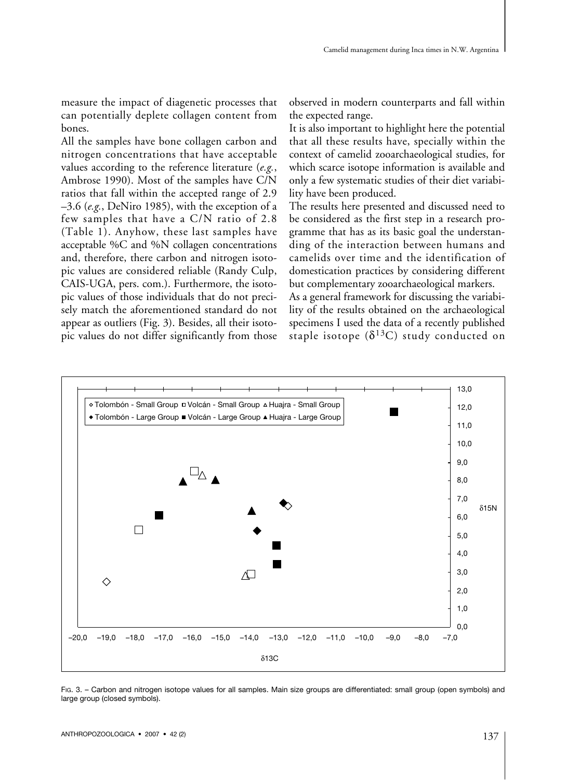measure the impact of diagenetic processes that can potentially deplete collagen content from bones.

All the samples have bone collagen carbon and nitrogen concentrations that have acceptable values according to the reference literature (*e.g.*, Ambrose 1990). Most of the samples have C/N ratios that fall within the accepted range of 2.9 –3.6 (*e.g.*, DeNiro 1985), with the exception of a few samples that have a C/N ratio of 2.8 (Table 1). Anyhow, these last samples have acceptable %C and %N collagen concentrations and, therefore, there carbon and nitrogen isotopic values are considered reliable (Randy Culp, CAIS-UGA, pers. com.). Furthermore, the isotopic values of those individuals that do not precisely match the aforementioned standard do not appear as outliers (Fig. 3). Besides, all their isotopic values do not differ significantly from those observed in modern counterparts and fall within the expected range.

It is also important to highlight here the potential that all these results have, specially within the context of camelid zooarchaeological studies, for which scarce isotope information is available and only a few systematic studies of their diet variability have been produced.

The results here presented and discussed need to be considered as the first step in a research programme that has as its basic goal the understanding of the interaction between humans and camelids over time and the identification of domestication practices by considering different but complementary zooarchaeological markers.

As a general framework for discussing the variability of the results obtained on the archaeological specimens I used the data of a recently published staple isotope ( $\delta^{13}$ C) study conducted on



FIG. 3. – Carbon and nitrogen isotope values for all samples. Main size groups are differentiated: small group (open symbols) and large group (closed symbols).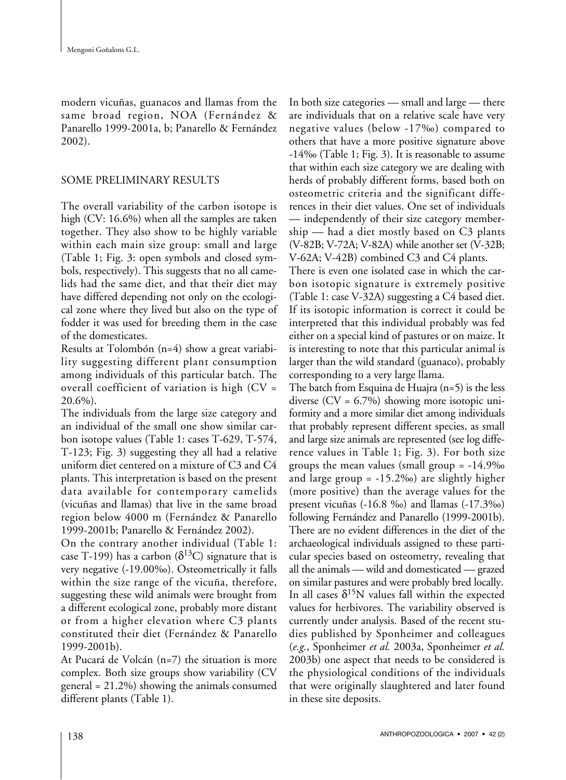modern vicuñas, guanacos and llamas from the same broad region, NOA (Fernández & Panarello 1999-2001a, b; Panarello & Fernández 2002).

#### SOME PRELIMINARY RESULTS

The overall variability of the carbon isotope is high (CV: 16.6%) when all the samples are taken together. They also show to be highly variable within each main size group: small and large (Table 1; Fig. 3: open symbols and closed symbols, respectively). This suggests that no all camelids had the same diet, and that their diet may have differed depending not only on the ecological zone where they lived but also on the type of fodder it was used for breeding them in the case of the domesticates.

Results at Tolombón (n=4) show a great variability suggesting different plant consumption among individuals of this particular batch. The overall coefficient of variation is high (CV = 20.6%).

The individuals from the large size category and an individual of the small one show similar carbon isotope values (Table 1: cases T-629, T-574, T-123; Fig. 3) suggesting they all had a relative uniform diet centered on a mixture of C3 and C4 plants. This interpretation is based on the present data available for contemporary camelids (vicuñas and llamas) that live in the same broad region below 4000 m (Fernández & Panarello 1999-2001b; Panarello & Fernández 2002).

On the contrary another individual (Table 1: case T-199) has a carbon  $(\delta^{13}C)$  signature that is very negative (-19.00‰). Osteometrically it falls within the size range of the vicuña, therefore, suggesting these wild animals were brought from a different ecological zone, probably more distant or from a higher elevation where C3 plants constituted their diet (Fernández & Panarello 1999-2001b).

At Pucará de Volcán (n=7) the situation is more complex. Both size groups show variability (CV general = 21.2%) showing the animals consumed different plants (Table 1).

In both size categories — small and large — there are individuals that on a relative scale have very negative values (below -17‰) compared to others that have a more positive signature above -14‰ (Table 1; Fig. 3). It is reasonable to assume that within each size category we are dealing with herds of probably different forms, based both on osteometric criteria and the significant differences in their diet values. One set of individuals — independently of their size category membership — had a diet mostly based on C3 plants (V-82B; V-72A; V-82A) while another set (V-32B; V-62A; V-42B) combined C3 and C4 plants.

There is even one isolated case in which the carbon isotopic signature is extremely positive (Table 1: case V-32A) suggesting a C4 based diet. If its isotopic information is correct it could be interpreted that this individual probably was fed either on a special kind of pastures or on maize. It is interesting to note that this particular animal is larger than the wild standard (guanaco), probably corresponding to a very large llama.

The batch from Esquina de Huajra (n=5) is the less diverse  $(CV = 6.7%)$  showing more isotopic uniformity and a more similar diet among individuals that probably represent different species, as small and large size animals are represented (see log difference values in Table 1; Fig. 3). For both size groups the mean values (small group = -14.9‰ and large group = -15.2‰) are slightly higher (more positive) than the average values for the present vicuñas (-16.8 ‰) and llamas (-17.3‰) following Fernández and Panarello (1999-2001b). There are no evident differences in the diet of the archaeological individuals assigned to these particular species based on osteometry, revealing that all the animals — wild and domesticated — grazed on similar pastures and were probably bred locally. In all cases  $\delta^{15}N$  values fall within the expected values for herbivores. The variability observed is currently under analysis. Based of the recent studies published by Sponheimer and colleagues (*e.g.*, Sponheimer *et al.* 2003a, Sponheimer *et al.* 2003b) one aspect that needs to be considered is the physiological conditions of the individuals that were originally slaughtered and later found in these site deposits.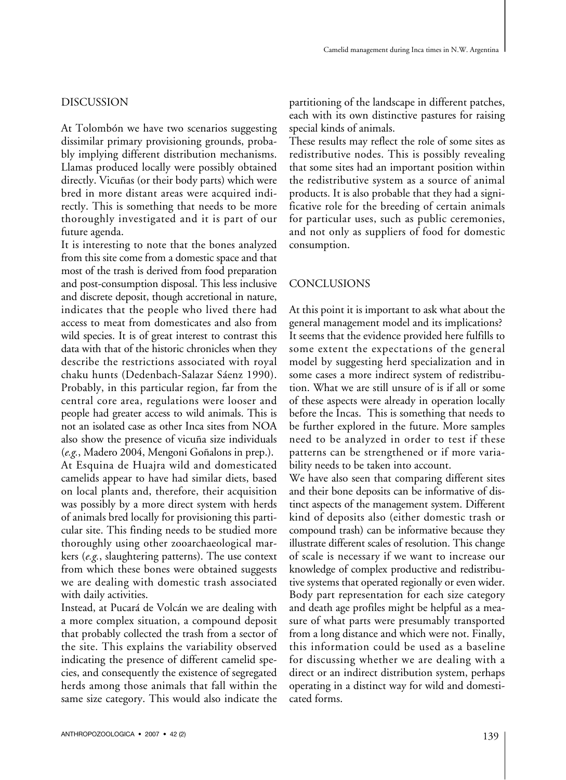#### DISCUSSION

At Tolombón we have two scenarios suggesting dissimilar primary provisioning grounds, probably implying different distribution mechanisms. Llamas produced locally were possibly obtained directly. Vicuñas (or their body parts) which were bred in more distant areas were acquired indirectly. This is something that needs to be more thoroughly investigated and it is part of our future agenda.

It is interesting to note that the bones analyzed from this site come from a domestic space and that most of the trash is derived from food preparation and post-consumption disposal. This less inclusive and discrete deposit, though accretional in nature, indicates that the people who lived there had access to meat from domesticates and also from wild species. It is of great interest to contrast this data with that of the historic chronicles when they describe the restrictions associated with royal chaku hunts (Dedenbach-Salazar Sáenz 1990). Probably, in this particular region, far from the central core area, regulations were looser and people had greater access to wild animals. This is not an isolated case as other Inca sites from NOA also show the presence of vicuña size individuals (*e.g.*, Madero 2004, Mengoni Goñalons in prep.). At Esquina de Huajra wild and domesticated camelids appear to have had similar diets, based on local plants and, therefore, their acquisition was possibly by a more direct system with herds of animals bred locally for provisioning this particular site. This finding needs to be studied more thoroughly using other zooarchaeological markers (*e.g.*, slaughtering patterns). The use context from which these bones were obtained suggests we are dealing with domestic trash associated with daily activities.

Instead, at Pucará de Volcán we are dealing with a more complex situation, a compound deposit that probably collected the trash from a sector of the site. This explains the variability observed indicating the presence of different camelid species, and consequently the existence of segregated herds among those animals that fall within the same size category. This would also indicate the partitioning of the landscape in different patches, each with its own distinctive pastures for raising special kinds of animals.

These results may reflect the role of some sites as redistributive nodes. This is possibly revealing that some sites had an important position within the redistributive system as a source of animal products. It is also probable that they had a significative role for the breeding of certain animals for particular uses, such as public ceremonies, and not only as suppliers of food for domestic consumption.

#### CONCLUSIONS

At this point it is important to ask what about the general management model and its implications? It seems that the evidence provided here fulfills to some extent the expectations of the general model by suggesting herd specialization and in some cases a more indirect system of redistribution. What we are still unsure of is if all or some of these aspects were already in operation locally before the Incas. This is something that needs to be further explored in the future. More samples need to be analyzed in order to test if these patterns can be strengthened or if more variability needs to be taken into account.

We have also seen that comparing different sites and their bone deposits can be informative of distinct aspects of the management system. Different kind of deposits also (either domestic trash or compound trash) can be informative because they illustrate different scales of resolution. This change of scale is necessary if we want to increase our knowledge of complex productive and redistributive systems that operated regionally or even wider. Body part representation for each size category and death age profiles might be helpful as a measure of what parts were presumably transported from a long distance and which were not. Finally, this information could be used as a baseline for discussing whether we are dealing with a direct or an indirect distribution system, perhaps operating in a distinct way for wild and domesticated forms.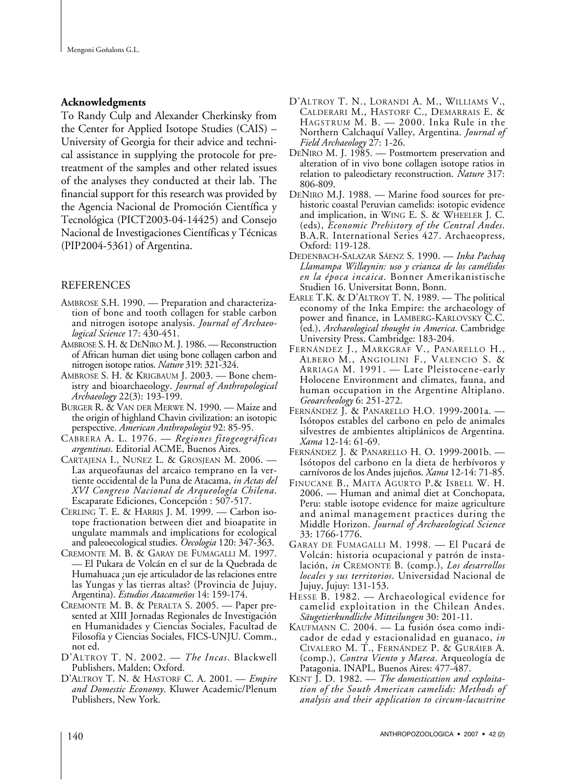#### **Acknowledgments**

To Randy Culp and Alexander Cherkinsky from the Center for Applied Isotope Studies (CAIS) – University of Georgia for their advice and technical assistance in supplying the protocole for pretreatment of the samples and other related issues of the analyses they conducted at their lab. The financial support for this research was provided by the Agencia Nacional de Promoción Científica y Tecnológica (PICT2003-04-14425) and Consejo Nacional de Investigaciones Científicas y Técnicas (PIP2004-5361) of Argentina.

#### REFERENCES

- AMBROSE S.H. 1990. Preparation and characterization of bone and tooth collagen for stable carbon and nitrogen isotope analysis. *Journal of Archaeological Science* 17: 430-451.
- AMBROSE S. H. & DENIRO M.J. 1986.—Reconstruction of African human diet using bone collagen carbon and nitrogen isotoperatios. *Nature* 319: 321-324.
- AMBROSE S. H. & KRIGBAUM J. 2003. Bone chemistry and bioarchaeology. *Journal of Anthropological Archaeology* 22(3): 193-199.
- BURGER R. & VAN DER MERWE N. 1990. Maize and the origin of highland Chavin civilization: an isotopic perspective. *American Anthropologist* 92: 85-95.
- CABRERA A. L. 1976. *Regiones fitogeográficas argentinas*. Editorial ACME, Buenos Aires.
- CARTAJENA I., NUÑEZ L. & GROSJEAN M. 2006. Las arqueofaunas del arcaico temprano en la vertiente occidental de la Puna de Atacama, *in Actas del XVI Congreso Nacional de Arqueología Chilena*. Escaparate Ediciones, Concepción : 507-517.
- CERLING T. E. & HARRIS J. M. 1999. Carbon isotope fractionation between diet and bioapatite in ungulate mammals and implications for ecological and paleoecological studies. *Oecologia* 120: 347-363.
- CREMONTE M. B. & GARAY DE FUMAGALLI M. 1997. — El Pukara de Volcán en el sur de la Quebrada de Humahuaca ¿un eje articulador de las relaciones entre las Yungas y las tierras altas? (Provincia de Jujuy, Argentina). *Estudios Atacameños* 14: 159-174.
- CREMONTE M. B. & PERALTA S. 2005. Paper presented at XIII Jornadas Regionales de Investigación en Humanidades y Ciencias Sociales, Facultad de Filosofía y Ciencias Sociales, FICS-UNJU. Comm., not ed.
- D'ALTROY T. N. 2002. *The Incas*. Blackwell Publishers, Malden; Oxford.
- D'ALTROY T. N. & HASTORF C. A. 2001. *Empire and Domestic Economy*. Kluwer Academic/Plenum Publishers, New York.
- D'ALTROY T. N., LORANDI A. M., WILLIAMS V., CALDERARI M., HASTORF C., DEMARRAIS E. & HAGSTRUM M. B. — 2000. Inka Rule in the Northern Calchaquí Valley, Argentina. *Journal of Field Archaeology* 27: 1-26.
- DENIRO M. J. 1985. Postmortem preservation and alteration of in vivo bone collagen isotope ratios in relation to paleodietary reconstruction. *Nature* 317: 806-809.
- DENIRO M.J. 1988. Marine food sources for prehistoric coastal Peruvian camelids: isotopic evidence and implication, in WING E. S. & WHEELER J. C. (eds), *Economic Prehistory of the Central Andes*. B.A.R. International Series 427. Archaeopress, Oxford: 119-128.
- DEDENBACH-SALAZAR SÁENZ S. 1990. *Inka Pachaq Llamampa Willaynin: uso y crianza de los camélidos en la época incaica*. Bonner Amerikanistische Studien 16. Universitat Bonn, Bonn.
- EARLE T.K. & D'ALTROY T. N. 1989. The political economy of the Inka Empire: the archaeology of power and finance, in LAMBERG-KARLOVSKY C.C. (ed.), *Archaeological thought in America*. Cambridge University Press, Cambridge: 183-204.
- FERNÁNDEZ J., MARKGRAF V., PANARELLO H., ALBERO M., ANGIOLINI F., VALENCIO S. & ARRIAGA M. 1991. — Late Pleistocene-early Holocene Environment and climates, fauna, and human occupation in the Argentine Altiplano. *Geoarcheology* 6: 251-272.
- FERNÁNDEZ J. & PANARELLO H.O. 1999-2001a. Isótopos estables del carbono en pelo de animales silvestres de ambientes altiplánicos de Argentina. *Xama* 12-14: 61-69.
- FERNÁNDEZ J. & PANARELLO H. O. 1999-2001b. Isótopos del carbono en la dieta de herbívoros y carnívoros de los Andes jujeños. *Xama* 12-14: 71-85.
- FINUCANE B., MAITA AGURTO P.& ISBELL W. H. 2006. — Human and animal diet at Conchopata, Peru: stable isotope evidence for maize agriculture and animal management practices during the Middle Horizon. *Journal of Archaeological Science* 33: 1766-1776.
- GARAY DE FUMAGALLI M. 1998. El Pucará de Volcán: historia ocupacional y patrón de instalación, *in* CREMONTE B. (comp.), *Los desarrollos locales y sus territorios*. Universidad Nacional de Jujuy, Jujuy: 131-153.
- HESSE B. 1982. Archaeological evidence for camelid exploitation in the Chilean Andes. *Säugetierkundliche Mitteilungen* 30: 201-11.
- KAUFMANN C. 2004. La fusión ósea como indicador de edad y estacionalidad en guanaco, *in* CIVALERO M. T., FERNÁNDEZ P. & GURÁIEB A. (comp.), *Contra Viento y Marea*. Arqueología de Patagonia. INAPL, Buenos Aires: 477-487.
- KENT J. D. 1982. *The domestication and exploitation of the South American camelids: Methods of analysis and their application to circum-lacustrine*